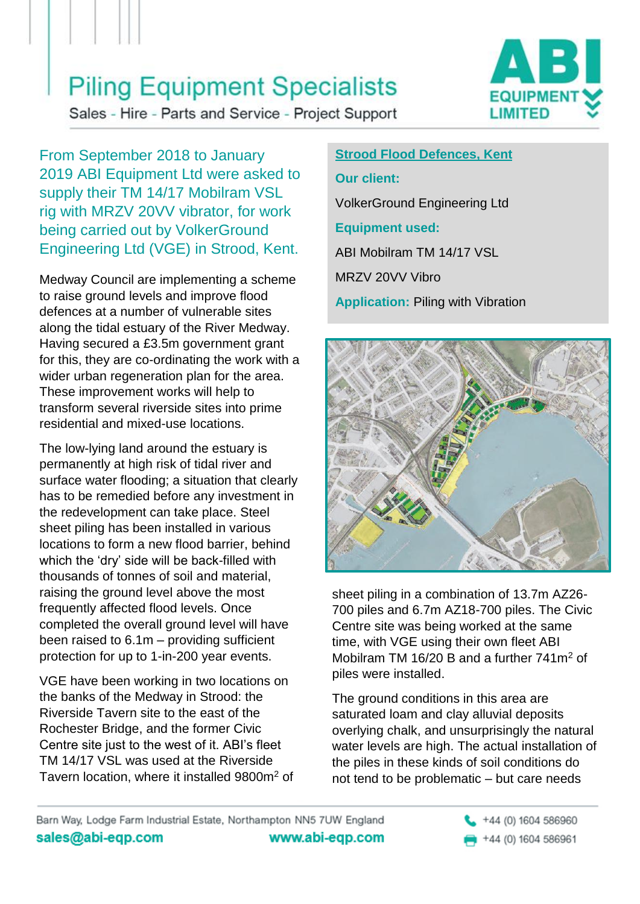## **Piling Equipment Specialists**

**EQUIPMEN LIMITED** 

Sales - Hire - Parts and Service - Project Support

From September 2018 to January 2019 ABI Equipment Ltd were asked to supply their TM 14/17 Mobilram VSL rig with MRZV 20VV vibrator, for work being carried out by VolkerGround Engineering Ltd (VGE) in Strood, Kent.

Medway Council are implementing a scheme to raise ground levels and improve flood defences at a number of vulnerable sites along the tidal estuary of the River Medway. Having secured a £3.5m government grant for this, they are co-ordinating the work with a wider urban regeneration plan for the area. These improvement works will help to transform several riverside sites into prime residential and mixed-use locations.

The low-lying land around the estuary is permanently at high risk of tidal river and surface water flooding; a situation that clearly has to be remedied before any investment in the redevelopment can take place. Steel sheet piling has been installed in various locations to form a new flood barrier, behind which the 'dry' side will be back-filled with thousands of tonnes of soil and material, raising the ground level above the most frequently affected flood levels. Once completed the overall ground level will have been raised to 6.1m – providing sufficient protection for up to 1-in-200 year events.

VGE have been working in two locations on the banks of the Medway in Strood: the Riverside Tavern site to the east of the Rochester Bridge, and the former Civic Centre site just to the west of it. ABI's fleet TM 14/17 VSL was used at the Riverside Tavern location, where it installed 9800m<sup>2</sup> of

**Strood Flood Defences, Kent Our client:** VolkerGround Engineering Ltd **Equipment used:** ABI Mobilram TM 14/17 VSL MRZV 20VV Vibro **Application: Piling with Vibration** 



sheet piling in a combination of 13.7m AZ26- 700 piles and 6.7m AZ18-700 piles. The Civic Centre site was being worked at the same time, with VGE using their own fleet ABI Mobilram TM 16/20 B and a further 741m<sup>2</sup> of piles were installed.

The ground conditions in this area are saturated loam and clay alluvial deposits overlying chalk, and unsurprisingly the natural water levels are high. The actual installation of the piles in these kinds of soil conditions do not tend to be problematic – but care needs

Barn Way, Lodge Farm Industrial Estate, Northampton NN5 7UW England sales@abi-eqp.com www.abi-eqp.com

+44 (0) 1604 586960 +44 (0) 1604 586961